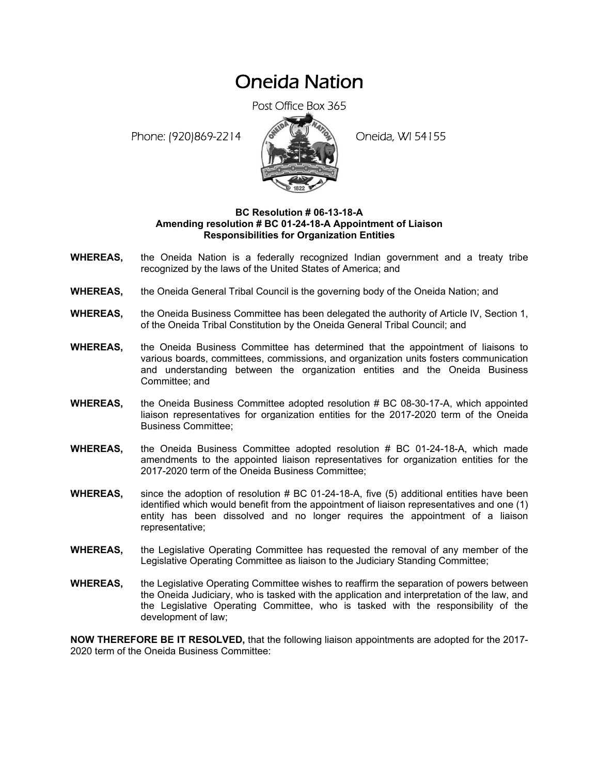# Oneida Nation

Post Office Box 365

Phone: (920)869-2214 (8 22 3) Oneida, WI 54155



### **BC Resolution # 06-13-18-A Amending resolution # BC 01-24-18-A Appointment of Liaison Responsibilities for Organization Entities**

- **WHEREAS,** the Oneida Nation is a federally recognized Indian government and a treaty tribe recognized by the laws of the United States of America; and
- **WHEREAS,** the Oneida General Tribal Council is the governing body of the Oneida Nation; and
- **WHEREAS,** the Oneida Business Committee has been delegated the authority of Article IV, Section 1, of the Oneida Tribal Constitution by the Oneida General Tribal Council; and
- **WHEREAS,** the Oneida Business Committee has determined that the appointment of liaisons to various boards, committees, commissions, and organization units fosters communication and understanding between the organization entities and the Oneida Business Committee; and
- **WHEREAS,** the Oneida Business Committee adopted resolution # BC 08-30-17-A, which appointed liaison representatives for organization entities for the 2017-2020 term of the Oneida Business Committee;
- **WHEREAS,** the Oneida Business Committee adopted resolution # BC 01-24-18-A, which made amendments to the appointed liaison representatives for organization entities for the 2017-2020 term of the Oneida Business Committee;
- **WHEREAS,** since the adoption of resolution # BC 01-24-18-A, five (5) additional entities have been identified which would benefit from the appointment of liaison representatives and one (1) entity has been dissolved and no longer requires the appointment of a liaison representative;
- **WHEREAS,** the Legislative Operating Committee has requested the removal of any member of the Legislative Operating Committee as liaison to the Judiciary Standing Committee;
- **WHEREAS,** the Legislative Operating Committee wishes to reaffirm the separation of powers between the Oneida Judiciary, who is tasked with the application and interpretation of the law, and the Legislative Operating Committee, who is tasked with the responsibility of the development of law;

**NOW THEREFORE BE IT RESOLVED,** that the following liaison appointments are adopted for the 2017- 2020 term of the Oneida Business Committee: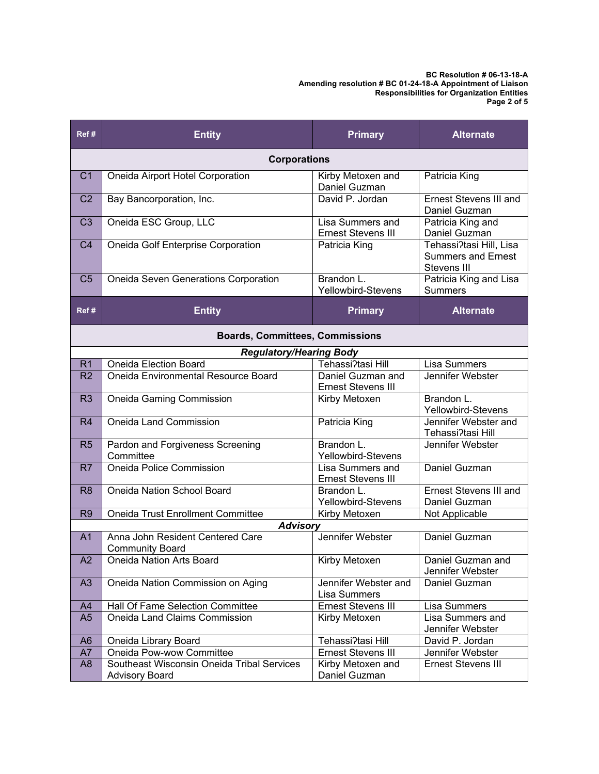**BC Resolution # 06-13-18-A Amending resolution # BC 01-24-18-A Appointment of Liaison Responsibilities for Organization Entities Page 2 of 5** 

| Ref#                                   | <b>Entity</b>                                       | <b>Primary</b>                                 | <b>Alternate</b>                                                    |  |  |
|----------------------------------------|-----------------------------------------------------|------------------------------------------------|---------------------------------------------------------------------|--|--|
| <b>Corporations</b>                    |                                                     |                                                |                                                                     |  |  |
| C <sub>1</sub>                         | Oneida Airport Hotel Corporation                    | Kirby Metoxen and<br>Daniel Guzman             | Patricia King                                                       |  |  |
| C <sub>2</sub>                         | Bay Bancorporation, Inc.                            | David P. Jordan                                | <b>Ernest Stevens III and</b><br>Daniel Guzman                      |  |  |
| C <sub>3</sub>                         | Oneida ESC Group, LLC                               | Lisa Summers and<br><b>Ernest Stevens III</b>  | Patricia King and<br>Daniel Guzman                                  |  |  |
| C <sub>4</sub>                         | Oneida Golf Enterprise Corporation                  | Patricia King                                  | Tehassi?tasi Hill, Lisa<br><b>Summers and Ernest</b><br>Stevens III |  |  |
| C <sub>5</sub>                         | Oneida Seven Generations Corporation                | Brandon L.<br>Yellowbird-Stevens               | Patricia King and Lisa<br><b>Summers</b>                            |  |  |
| Ref#                                   | <b>Entity</b>                                       | <b>Primary</b>                                 | <b>Alternate</b>                                                    |  |  |
| <b>Boards, Committees, Commissions</b> |                                                     |                                                |                                                                     |  |  |
|                                        | Regulatory/Hearing Body                             |                                                |                                                                     |  |  |
| R <sub>1</sub>                         | <b>Oneida Election Board</b>                        | Tehassi?tasi Hill                              | Lisa Summers                                                        |  |  |
| R <sub>2</sub>                         | Oneida Environmental Resource Board                 | Daniel Guzman and<br><b>Ernest Stevens III</b> | Jennifer Webster                                                    |  |  |
| R <sub>3</sub>                         | Oneida Gaming Commission                            | Kirby Metoxen                                  | Brandon L.<br>Yellowbird-Stevens                                    |  |  |
| R4                                     | Oneida Land Commission                              | Patricia King                                  | Jennifer Webster and<br>Tehassi?tasi Hill                           |  |  |
| R <sub>5</sub>                         | Pardon and Forgiveness Screening<br>Committee       | Brandon L.<br>Yellowbird-Stevens               | Jennifer Webster                                                    |  |  |
| R7                                     | Oneida Police Commission                            | Lisa Summers and<br>Ernest Stevens III         | Daniel Guzman                                                       |  |  |
| R <sub>8</sub>                         | Oneida Nation School Board                          | Brandon L.                                     | <b>Ernest Stevens III and</b>                                       |  |  |
|                                        |                                                     | Yellowbird-Stevens                             | Daniel Guzman                                                       |  |  |
| R <sub>9</sub>                         | Oneida Trust Enrollment Committee                   | Kirby Metoxen                                  | Not Applicable                                                      |  |  |
|                                        | <b>Advisory</b><br>Anna John Resident Centered Care | Jennifer Webster                               | Daniel Guzman                                                       |  |  |
| A <sub>1</sub>                         | <b>Community Board</b>                              |                                                |                                                                     |  |  |
| A2                                     | Oneida Nation Arts Board                            | Kirby Metoxen                                  | Daniel Guzman and<br>Jennifer Webster                               |  |  |
| A3                                     | Oneida Nation Commission on Aging                   | Jennifer Webster and<br>Lisa Summers           | Daniel Guzman                                                       |  |  |
| A4                                     | Hall Of Fame Selection Committee                    | <b>Ernest Stevens III</b>                      | Lisa Summers                                                        |  |  |
| A5                                     | Oneida Land Claims Commission                       | Kirby Metoxen                                  | Lisa Summers and<br>Jennifer Webster                                |  |  |
| A <sub>6</sub>                         | Oneida Library Board                                | Tehassi?tasi Hill                              | David P. Jordan                                                     |  |  |
| A7                                     | Oneida Pow-wow Committee                            | Ernest Stevens III                             | Jennifer Webster                                                    |  |  |
| A <sub>8</sub>                         | Southeast Wisconsin Oneida Tribal Services          | Kirby Metoxen and                              | Ernest Stevens III                                                  |  |  |
|                                        | <b>Advisory Board</b>                               | Daniel Guzman                                  |                                                                     |  |  |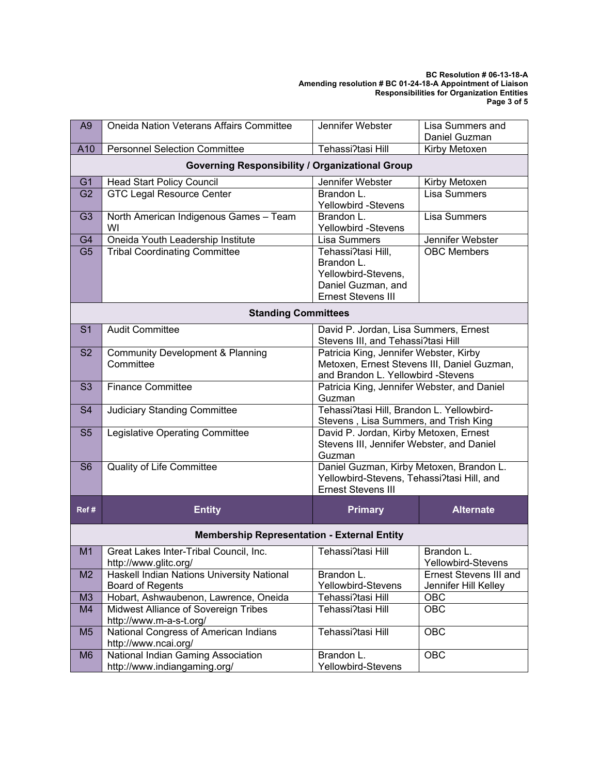#### **BC Resolution # 06-13-18-A Amending resolution # BC 01-24-18-A Appointment of Liaison Responsibilities for Organization Entities Page 3 of 5**

| A <sub>9</sub>                                         | Oneida Nation Veterans Affairs Committee                           | Jennifer Webster                                                                                                            | Lisa Summers and                 |  |  |  |
|--------------------------------------------------------|--------------------------------------------------------------------|-----------------------------------------------------------------------------------------------------------------------------|----------------------------------|--|--|--|
|                                                        |                                                                    |                                                                                                                             | Daniel Guzman                    |  |  |  |
| A10                                                    | <b>Personnel Selection Committee</b>                               | Tehassi?tasi Hill                                                                                                           | Kirby Metoxen                    |  |  |  |
| <b>Governing Responsibility / Organizational Group</b> |                                                                    |                                                                                                                             |                                  |  |  |  |
| G <sub>1</sub>                                         | <b>Head Start Policy Council</b>                                   | Jennifer Webster                                                                                                            | Kirby Metoxen                    |  |  |  |
| G <sub>2</sub>                                         | <b>GTC Legal Resource Center</b>                                   | Brandon L.<br>Yellowbird -Stevens                                                                                           | <b>Lisa Summers</b>              |  |  |  |
| G <sub>3</sub>                                         | North American Indigenous Games - Team<br>WI                       | Brandon L.<br>Yellowbird -Stevens                                                                                           | Lisa Summers                     |  |  |  |
| G4                                                     | Oneida Youth Leadership Institute                                  | Lisa Summers                                                                                                                | Jennifer Webster                 |  |  |  |
| G <sub>5</sub>                                         | <b>Tribal Coordinating Committee</b>                               | Tehassi?tasi Hill,<br>Brandon L.<br>Yellowbird-Stevens,<br>Daniel Guzman, and<br><b>Ernest Stevens III</b>                  | <b>OBC Members</b>               |  |  |  |
|                                                        | <b>Standing Committees</b>                                         |                                                                                                                             |                                  |  |  |  |
| S <sub>1</sub>                                         | <b>Audit Committee</b>                                             | David P. Jordan, Lisa Summers, Ernest<br>Stevens III, and Tehassi?tasi Hill                                                 |                                  |  |  |  |
| S <sub>2</sub>                                         | Community Development & Planning<br>Committee                      | Patricia King, Jennifer Webster, Kirby<br>Metoxen, Ernest Stevens III, Daniel Guzman,<br>and Brandon L. Yellowbird -Stevens |                                  |  |  |  |
| S <sub>3</sub>                                         | <b>Finance Committee</b>                                           | Patricia King, Jennifer Webster, and Daniel<br>Guzman                                                                       |                                  |  |  |  |
| S <sub>4</sub>                                         | <b>Judiciary Standing Committee</b>                                | Tehassi?tasi Hill, Brandon L. Yellowbird-<br>Stevens, Lisa Summers, and Trish King                                          |                                  |  |  |  |
| S <sub>5</sub>                                         | Legislative Operating Committee                                    | David P. Jordan, Kirby Metoxen, Ernest<br>Stevens III, Jennifer Webster, and Daniel<br>Guzman                               |                                  |  |  |  |
| S <sub>6</sub>                                         | Quality of Life Committee                                          | Daniel Guzman, Kirby Metoxen, Brandon L.<br>Yellowbird-Stevens, Tehassi?tasi Hill, and<br><b>Ernest Stevens III</b>         |                                  |  |  |  |
| Ref#                                                   | <b>Entity</b>                                                      | <b>Primary</b>                                                                                                              | <b>Alternate</b>                 |  |  |  |
| <b>Membership Representation - External Entity</b>     |                                                                    |                                                                                                                             |                                  |  |  |  |
| M1                                                     | Great Lakes Inter-Tribal Council, Inc.<br>http://www.glitc.org/    | Tehassi?tasi Hill                                                                                                           | Brandon L.<br>Yellowbird-Stevens |  |  |  |
| M <sub>2</sub>                                         | Haskell Indian Nations University National                         | Brandon L.                                                                                                                  | <b>Ernest Stevens III and</b>    |  |  |  |
|                                                        | <b>Board of Regents</b>                                            | Yellowbird-Stevens                                                                                                          | Jennifer Hill Kelley             |  |  |  |
| M3                                                     | Hobart, Ashwaubenon, Lawrence, Oneida                              | Tehassi?tasi Hill                                                                                                           | OBC                              |  |  |  |
| M4                                                     | Midwest Alliance of Sovereign Tribes<br>http://www.m-a-s-t.org/    | Tehassi?tasi Hill                                                                                                           | OBC                              |  |  |  |
| M <sub>5</sub>                                         | National Congress of American Indians<br>http://www.ncai.org/      | Tehassi?tasi Hill                                                                                                           | OBC                              |  |  |  |
| M <sub>6</sub>                                         | National Indian Gaming Association<br>http://www.indiangaming.org/ | Brandon L.<br>Yellowbird-Stevens                                                                                            | OBC                              |  |  |  |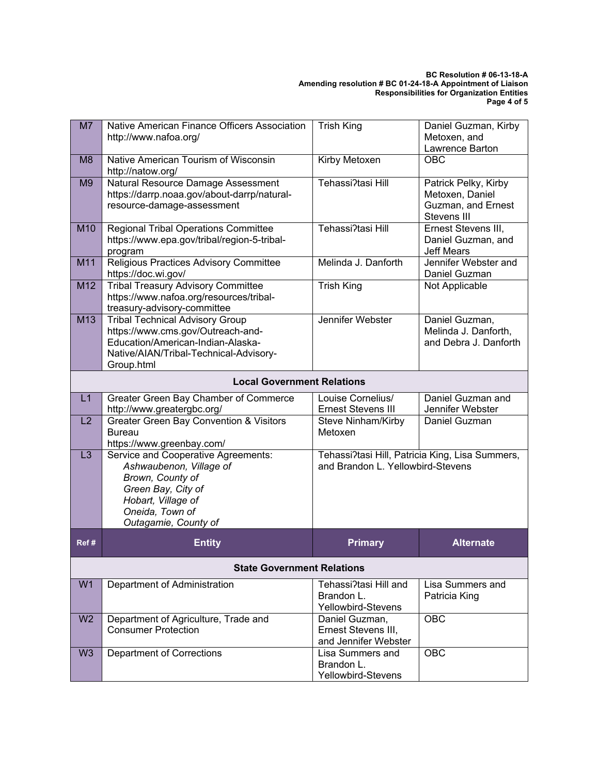#### **BC Resolution # 06-13-18-A Amending resolution # BC 01-24-18-A Appointment of Liaison Responsibilities for Organization Entities Page 4 of 5**

| M7                                | Native American Finance Officers Association<br>http://www.nafoa.org/                                                                                                     | <b>Trish King</b>                                                                    | Daniel Guzman, Kirby<br>Metoxen, and<br>Lawrence Barton                      |  |
|-----------------------------------|---------------------------------------------------------------------------------------------------------------------------------------------------------------------------|--------------------------------------------------------------------------------------|------------------------------------------------------------------------------|--|
| M8                                | Native American Tourism of Wisconsin<br>http://natow.org/                                                                                                                 | Kirby Metoxen                                                                        | OBC                                                                          |  |
| M <sub>9</sub>                    | Natural Resource Damage Assessment<br>https://darrp.noaa.gov/about-darrp/natural-<br>resource-damage-assessment                                                           | Tehassi?tasi Hill                                                                    | Patrick Pelky, Kirby<br>Metoxen, Daniel<br>Guzman, and Ernest<br>Stevens III |  |
| M10                               | <b>Regional Tribal Operations Committee</b><br>https://www.epa.gov/tribal/region-5-tribal-<br>program                                                                     | Tehassi?tasi Hill                                                                    | Ernest Stevens III,<br>Daniel Guzman, and<br><b>Jeff Mears</b>               |  |
| M11                               | Religious Practices Advisory Committee<br>https://doc.wi.gov/                                                                                                             | Melinda J. Danforth                                                                  | Jennifer Webster and<br>Daniel Guzman                                        |  |
| M12                               | <b>Tribal Treasury Advisory Committee</b><br>https://www.nafoa.org/resources/tribal-<br>treasury-advisory-committee                                                       | <b>Trish King</b>                                                                    | Not Applicable                                                               |  |
| M13                               | <b>Tribal Technical Advisory Group</b><br>https://www.cms.gov/Outreach-and-<br>Education/American-Indian-Alaska-<br>Native/AIAN/Tribal-Technical-Advisory-<br>Group.html  | Jennifer Webster                                                                     | Daniel Guzman,<br>Melinda J. Danforth,<br>and Debra J. Danforth              |  |
| <b>Local Government Relations</b> |                                                                                                                                                                           |                                                                                      |                                                                              |  |
| L1                                | Greater Green Bay Chamber of Commerce<br>http://www.greatergbc.org/                                                                                                       | Louise Cornelius/<br><b>Ernest Stevens III</b>                                       | Daniel Guzman and<br>Jennifer Webster                                        |  |
| L2                                | <b>Greater Green Bay Convention &amp; Visitors</b><br><b>Bureau</b><br>https://www.greenbay.com/                                                                          | Steve Ninham/Kirby<br>Metoxen                                                        | Daniel Guzman                                                                |  |
| L <sub>3</sub>                    | Service and Cooperative Agreements:<br>Ashwaubenon, Village of<br>Brown, County of<br>Green Bay, City of<br>Hobart, Village of<br>Oneida, Town of<br>Outagamie, County of | Tehassi?tasi Hill, Patricia King, Lisa Summers,<br>and Brandon L. Yellowbird-Stevens |                                                                              |  |
| Ref#                              | <b>Entity</b>                                                                                                                                                             | <b>Primary</b>                                                                       | <b>Alternate</b>                                                             |  |
| <b>State Government Relations</b> |                                                                                                                                                                           |                                                                                      |                                                                              |  |
| W <sub>1</sub>                    | Department of Administration                                                                                                                                              | Tehassi?tasi Hill and<br>Brandon L.<br>Yellowbird-Stevens                            | Lisa Summers and<br>Patricia King                                            |  |
| W <sub>2</sub>                    | Department of Agriculture, Trade and<br><b>Consumer Protection</b>                                                                                                        | Daniel Guzman,<br>Ernest Stevens III,<br>and Jennifer Webster                        | <b>OBC</b>                                                                   |  |
| W <sub>3</sub>                    | <b>Department of Corrections</b>                                                                                                                                          | Lisa Summers and<br>Brandon L.<br>Yellowbird-Stevens                                 | OBC                                                                          |  |